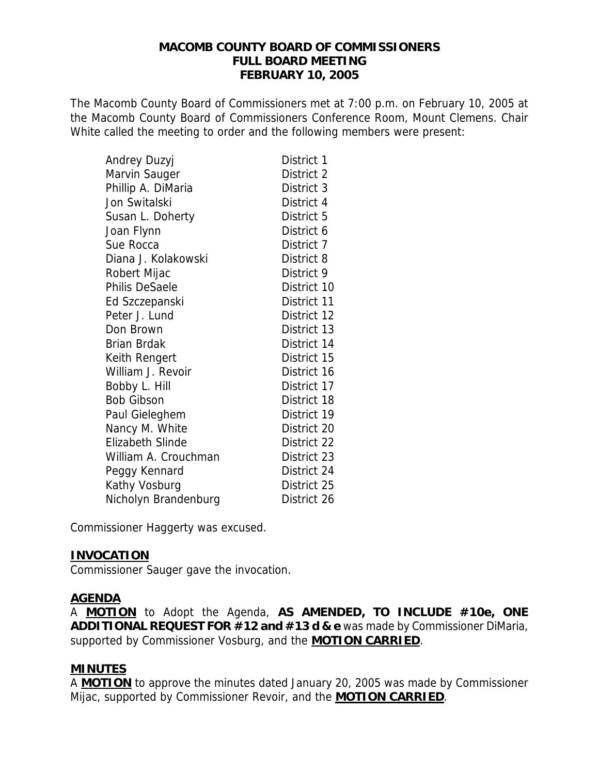#### **MACOMB COUNTY BOARD OF COMMISSIONERS FULL BOARD MEETING FEBRUARY 10, 2005**

The Macomb County Board of Commissioners met at 7:00 p.m. on February 10, 2005 at the Macomb County Board of Commissioners Conference Room, Mount Clemens. Chair White called the meeting to order and the following members were present:

| Andrey Duzyj            | District 1  |
|-------------------------|-------------|
| Marvin Sauger           | District 2  |
| Phillip A. DiMaria      | District 3  |
| Jon Switalski           | District 4  |
| Susan L. Doherty        | District 5  |
| Joan Flynn              | District 6  |
| Sue Rocca               | District 7  |
| Diana J. Kolakowski     | District 8  |
| Robert Mijac            | District 9  |
| <b>Philis DeSaele</b>   | District 10 |
| Ed Szczepanski          | District 11 |
| Peter J. Lund           | District 12 |
| Don Brown               | District 13 |
| <b>Brian Brdak</b>      | District 14 |
| Keith Rengert           | District 15 |
| William J. Revoir       | District 16 |
| Bobby L. Hill           | District 17 |
| <b>Bob Gibson</b>       | District 18 |
| Paul Gieleghem          | District 19 |
| Nancy M. White          | District 20 |
| <b>Elizabeth Slinde</b> | District 22 |
| William A. Crouchman    | District 23 |
| Peggy Kennard           | District 24 |
| Kathy Vosburg           | District 25 |
| Nicholyn Brandenburg    | District 26 |

Commissioner Haggerty was excused.

### **INVOCATION**

Commissioner Sauger gave the invocation.

### **AGENDA**

A **MOTION** to Adopt the Agenda, **AS AMENDED, TO INCLUDE #10e, ONE ADDITIONAL REQUEST FOR #12 and #13 d & e** was made by Commissioner DiMaria, supported by Commissioner Vosburg, and the **MOTION CARRIED**.

## **MINUTES**

A **MOTION** to approve the minutes dated January 20, 2005 was made by Commissioner Mijac, supported by Commissioner Revoir, and the **MOTION CARRIED**.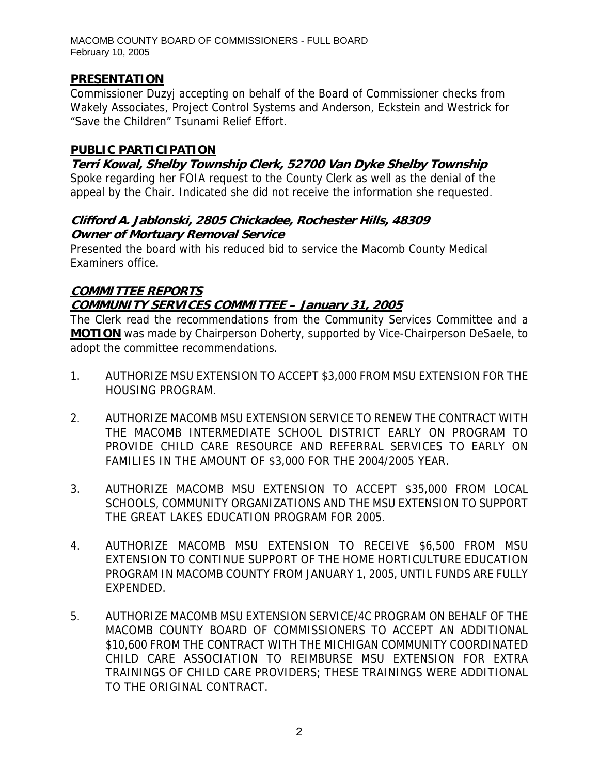### **PRESENTATION**

Commissioner Duzyj accepting on behalf of the Board of Commissioner checks from Wakely Associates, Project Control Systems and Anderson, Eckstein and Westrick for "Save the Children" Tsunami Relief Effort.

### **PUBLIC PARTICIPATION**

**Terri Kowal, Shelby Township Clerk, 52700 Van Dyke Shelby Township**  Spoke regarding her FOIA request to the County Clerk as well as the denial of the appeal by the Chair. Indicated she did not receive the information she requested.

### **Clifford A. Jablonski, 2805 Chickadee, Rochester Hills, 48309 Owner of Mortuary Removal Service**

Presented the board with his reduced bid to service the Macomb County Medical Examiners office.

# **COMMITTEE REPORTS COMMUNITY SERVICES COMMITTEE – January 31, 2005**

The Clerk read the recommendations from the Community Services Committee and a **MOTION** was made by Chairperson Doherty, supported by Vice-Chairperson DeSaele, to adopt the committee recommendations.

- 1. AUTHORIZE MSU EXTENSION TO ACCEPT \$3,000 FROM MSU EXTENSION FOR THE HOUSING PROGRAM.
- 2. AUTHORIZE MACOMB MSU EXTENSION SERVICE TO RENEW THE CONTRACT WITH THE MACOMB INTERMEDIATE SCHOOL DISTRICT EARLY ON PROGRAM TO PROVIDE CHILD CARE RESOURCE AND REFERRAL SERVICES TO EARLY ON FAMILIES IN THE AMOUNT OF \$3,000 FOR THE 2004/2005 YEAR.
- 3. AUTHORIZE MACOMB MSU EXTENSION TO ACCEPT \$35,000 FROM LOCAL SCHOOLS, COMMUNITY ORGANIZATIONS AND THE MSU EXTENSION TO SUPPORT THE GREAT LAKES EDUCATION PROGRAM FOR 2005.
- 4. AUTHORIZE MACOMB MSU EXTENSION TO RECEIVE \$6,500 FROM MSU EXTENSION TO CONTINUE SUPPORT OF THE HOME HORTICULTURE EDUCATION PROGRAM IN MACOMB COUNTY FROM JANUARY 1, 2005, UNTIL FUNDS ARE FULLY EXPENDED.
- 5. AUTHORIZE MACOMB MSU EXTENSION SERVICE/4C PROGRAM ON BEHALF OF THE MACOMB COUNTY BOARD OF COMMISSIONERS TO ACCEPT AN ADDITIONAL \$10,600 FROM THE CONTRACT WITH THE MICHIGAN COMMUNITY COORDINATED CHILD CARE ASSOCIATION TO REIMBURSE MSU EXTENSION FOR EXTRA TRAININGS OF CHILD CARE PROVIDERS; THESE TRAININGS WERE ADDITIONAL TO THE ORIGINAL CONTRACT.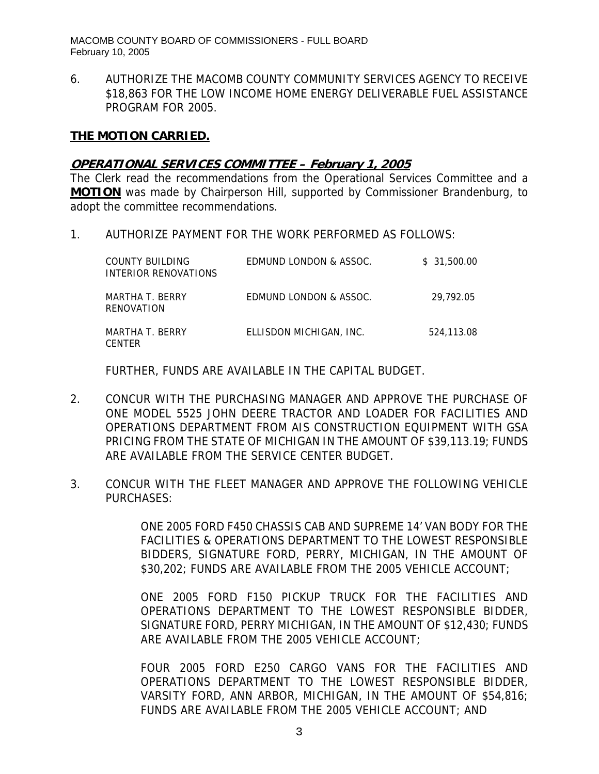6. AUTHORIZE THE MACOMB COUNTY COMMUNITY SERVICES AGENCY TO RECEIVE \$18,863 FOR THE LOW INCOME HOME ENERGY DELIVERABLE FUEL ASSISTANCE PROGRAM FOR 2005.

#### **THE MOTION CARRIED.**

#### **OPERATIONAL SERVICES COMMITTEE – February 1, 2005**

The Clerk read the recommendations from the Operational Services Committee and a **MOTION** was made by Chairperson Hill, supported by Commissioner Brandenburg, to adopt the committee recommendations.

1. AUTHORIZE PAYMENT FOR THE WORK PERFORMED AS FOLLOWS:

| COUNTY BUILDING<br>INTERIOR RENOVATIONS | EDMUND LONDON & ASSOC.  | \$31,500.00 |
|-----------------------------------------|-------------------------|-------------|
| MARTHA T. BERRY<br>RENOVATION           | EDMUND LONDON & ASSOC.  | 29.792.05   |
| MARTHA T. BERRY<br><b>CENTER</b>        | ELLISDON MICHIGAN, INC. | 524,113.08  |

FURTHER, FUNDS ARE AVAILABLE IN THE CAPITAL BUDGET.

- 2. CONCUR WITH THE PURCHASING MANAGER AND APPROVE THE PURCHASE OF ONE MODEL 5525 JOHN DEERE TRACTOR AND LOADER FOR FACILITIES AND OPERATIONS DEPARTMENT FROM AIS CONSTRUCTION EQUIPMENT WITH GSA PRICING FROM THE STATE OF MICHIGAN IN THE AMOUNT OF \$39,113.19; FUNDS ARE AVAILABLE FROM THE SERVICE CENTER BUDGET.
- 3. CONCUR WITH THE FLEET MANAGER AND APPROVE THE FOLLOWING VEHICLE PURCHASES:

ONE 2005 FORD F450 CHASSIS CAB AND SUPREME 14' VAN BODY FOR THE FACILITIES & OPERATIONS DEPARTMENT TO THE LOWEST RESPONSIBLE BIDDERS, SIGNATURE FORD, PERRY, MICHIGAN, IN THE AMOUNT OF \$30,202; FUNDS ARE AVAILABLE FROM THE 2005 VEHICLE ACCOUNT;

ONE 2005 FORD F150 PICKUP TRUCK FOR THE FACILITIES AND OPERATIONS DEPARTMENT TO THE LOWEST RESPONSIBLE BIDDER, SIGNATURE FORD, PERRY MICHIGAN, IN THE AMOUNT OF \$12,430; FUNDS ARE AVAILABLE FROM THE 2005 VEHICLE ACCOUNT;

FOUR 2005 FORD E250 CARGO VANS FOR THE FACILITIES AND OPERATIONS DEPARTMENT TO THE LOWEST RESPONSIBLE BIDDER, VARSITY FORD, ANN ARBOR, MICHIGAN, IN THE AMOUNT OF \$54,816; FUNDS ARE AVAILABLE FROM THE 2005 VEHICLE ACCOUNT; AND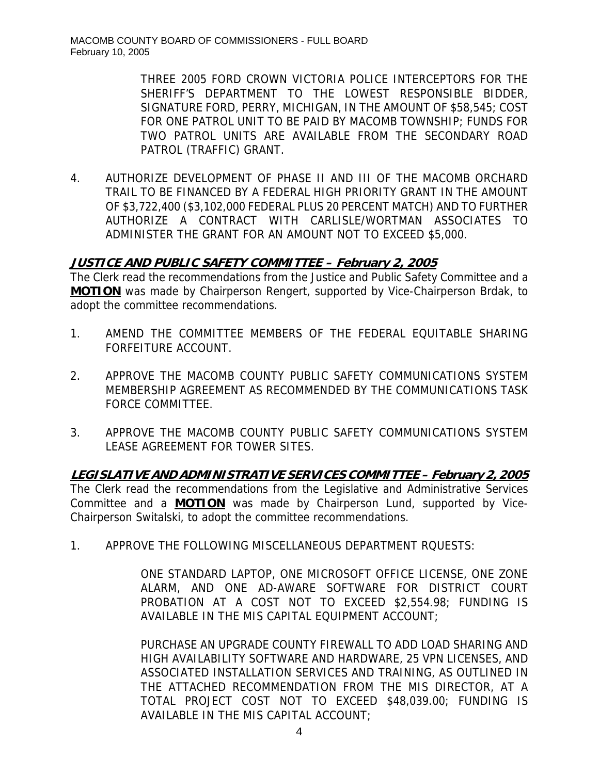THREE 2005 FORD CROWN VICTORIA POLICE INTERCEPTORS FOR THE SHERIFF'S DEPARTMENT TO THE LOWEST RESPONSIBLE BIDDER, SIGNATURE FORD, PERRY, MICHIGAN, IN THE AMOUNT OF \$58,545; COST FOR ONE PATROL UNIT TO BE PAID BY MACOMB TOWNSHIP; FUNDS FOR TWO PATROL UNITS ARE AVAILABLE FROM THE SECONDARY ROAD PATROL (TRAFFIC) GRANT.

4. AUTHORIZE DEVELOPMENT OF PHASE II AND III OF THE MACOMB ORCHARD TRAIL TO BE FINANCED BY A FEDERAL HIGH PRIORITY GRANT IN THE AMOUNT OF \$3,722,400 (\$3,102,000 FEDERAL PLUS 20 PERCENT MATCH) AND TO FURTHER AUTHORIZE A CONTRACT WITH CARLISLE/WORTMAN ASSOCIATES TO ADMINISTER THE GRANT FOR AN AMOUNT NOT TO EXCEED \$5,000.

### **JUSTICE AND PUBLIC SAFETY COMMITTEE – February 2, 2005**

The Clerk read the recommendations from the Justice and Public Safety Committee and a **MOTION** was made by Chairperson Rengert, supported by Vice-Chairperson Brdak, to adopt the committee recommendations.

- 1. AMEND THE COMMITTEE MEMBERS OF THE FEDERAL EQUITABLE SHARING FORFEITURE ACCOUNT.
- 2. APPROVE THE MACOMB COUNTY PUBLIC SAFETY COMMUNICATIONS SYSTEM MEMBERSHIP AGREEMENT AS RECOMMENDED BY THE COMMUNICATIONS TASK FORCE COMMITTEE.
- 3. APPROVE THE MACOMB COUNTY PUBLIC SAFETY COMMUNICATIONS SYSTEM LEASE AGREEMENT FOR TOWER SITES.

**LEGISLATIVE AND ADMINISTRATIVE SERVICES COMMITTEE – February 2, 2005** The Clerk read the recommendations from the Legislative and Administrative Services Committee and a **MOTION** was made by Chairperson Lund, supported by Vice-Chairperson Switalski, to adopt the committee recommendations.

1. APPROVE THE FOLLOWING MISCELLANEOUS DEPARTMENT RQUESTS:

ONE STANDARD LAPTOP, ONE MICROSOFT OFFICE LICENSE, ONE ZONE ALARM, AND ONE AD-AWARE SOFTWARE FOR DISTRICT COURT PROBATION AT A COST NOT TO EXCEED \$2,554.98; FUNDING IS AVAILABLE IN THE MIS CAPITAL EQUIPMENT ACCOUNT;

PURCHASE AN UPGRADE COUNTY FIREWALL TO ADD LOAD SHARING AND HIGH AVAILABILITY SOFTWARE AND HARDWARE, 25 VPN LICENSES, AND ASSOCIATED INSTALLATION SERVICES AND TRAINING, AS OUTLINED IN THE ATTACHED RECOMMENDATION FROM THE MIS DIRECTOR, AT A TOTAL PROJECT COST NOT TO EXCEED \$48,039.00; FUNDING IS AVAILABLE IN THE MIS CAPITAL ACCOUNT;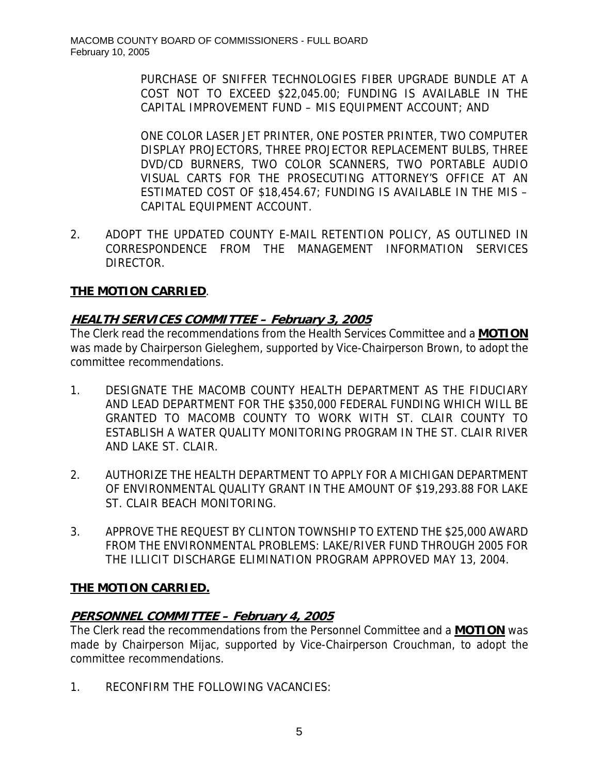PURCHASE OF SNIFFER TECHNOLOGIES FIBER UPGRADE BUNDLE AT A COST NOT TO EXCEED \$22,045.00; FUNDING IS AVAILABLE IN THE CAPITAL IMPROVEMENT FUND – MIS EQUIPMENT ACCOUNT; AND

ONE COLOR LASER JET PRINTER, ONE POSTER PRINTER, TWO COMPUTER DISPLAY PROJECTORS, THREE PROJECTOR REPLACEMENT BULBS, THREE DVD/CD BURNERS, TWO COLOR SCANNERS, TWO PORTABLE AUDIO VISUAL CARTS FOR THE PROSECUTING ATTORNEY'S OFFICE AT AN ESTIMATED COST OF \$18,454.67; FUNDING IS AVAILABLE IN THE MIS – CAPITAL EQUIPMENT ACCOUNT.

2. ADOPT THE UPDATED COUNTY E-MAIL RETENTION POLICY, AS OUTLINED IN CORRESPONDENCE FROM THE MANAGEMENT INFORMATION SERVICES DIRECTOR.

## **THE MOTION CARRIED**.

## **HEALTH SERVICES COMMITTEE – February 3, 2005**

The Clerk read the recommendations from the Health Services Committee and a **MOTION** was made by Chairperson Gieleghem, supported by Vice-Chairperson Brown, to adopt the committee recommendations.

- 1. DESIGNATE THE MACOMB COUNTY HEALTH DEPARTMENT AS THE FIDUCIARY AND LEAD DEPARTMENT FOR THE \$350,000 FEDERAL FUNDING WHICH WILL BE GRANTED TO MACOMB COUNTY TO WORK WITH ST. CLAIR COUNTY TO ESTABLISH A WATER QUALITY MONITORING PROGRAM IN THE ST. CLAIR RIVER AND LAKE ST. CLAIR.
- 2. AUTHORIZE THE HEALTH DEPARTMENT TO APPLY FOR A MICHIGAN DEPARTMENT OF ENVIRONMENTAL QUALITY GRANT IN THE AMOUNT OF \$19,293.88 FOR LAKE ST. CLAIR BEACH MONITORING.
- 3. APPROVE THE REQUEST BY CLINTON TOWNSHIP TO EXTEND THE \$25,000 AWARD FROM THE ENVIRONMENTAL PROBLEMS: LAKE/RIVER FUND THROUGH 2005 FOR THE ILLICIT DISCHARGE ELIMINATION PROGRAM APPROVED MAY 13, 2004.

## **THE MOTION CARRIED.**

# **PERSONNEL COMMITTEE – February 4, 2005**

The Clerk read the recommendations from the Personnel Committee and a **MOTION** was made by Chairperson Mijac, supported by Vice-Chairperson Crouchman, to adopt the committee recommendations.

1. RECONFIRM THE FOLLOWING VACANCIES: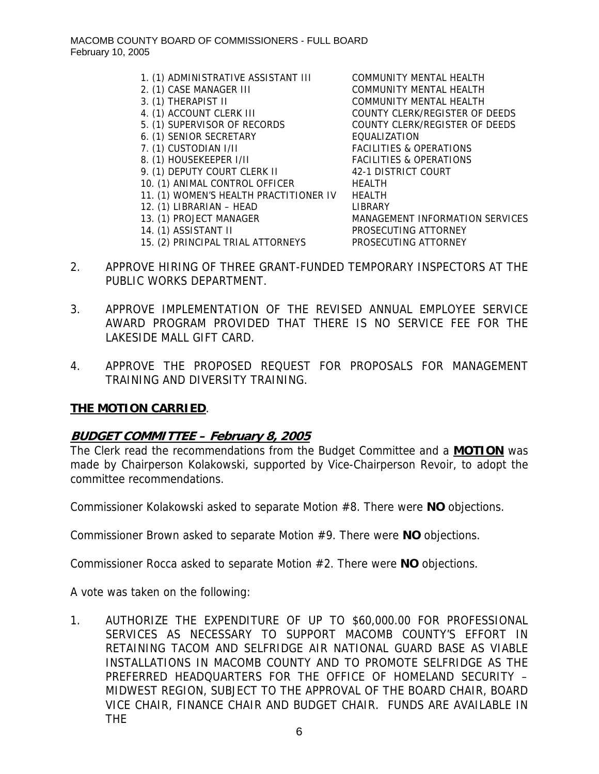- 1. (1) ADMINISTRATIVE ASSISTANT III COMMUNITY MENTAL HEALTH
- 
- 
- 
- 
- 6. (1) SENIOR SECRETARY EQUALIZATION
- 
- 
- 9. (1) DEPUTY COURT CLERK II 42-1 DISTRICT COURT
- 10. (1) ANIMAL CONTROL OFFICER HEALTH
- 11. (1) WOMEN'S HEALTH PRACTITIONER IV HEALTH
- 12. (1) LIBRARIAN HEAD LIBRARY
- 
- 

2. (1) CASE MANAGER III COMMUNITY MENTAL HEALTH 3. (1) THERAPIST II COMMUNITY MENTAL HEALTH 4. (1) ACCOUNT CLERK III COUNTY CLERK/REGISTER OF DEEDS 5. (1) SUPERVISOR OF RECORDS COUNTY CLERK/REGISTER OF DEEDS 7. (1) CUSTODIAN I/II FACILITIES & OPERATIONS 8. (1) HOUSEKEEPER I/II FACILITIES & OPERATIONS 13. (1) PROJECT MANAGER MANAGEMENT INFORMATION SERVICES 14. (1) ASSISTANT II PROSECUTING ATTORNEY 15. (2) PRINCIPAL TRIAL ATTORNEYS PROSECUTING ATTORNEY

- 2. APPROVE HIRING OF THREE GRANT-FUNDED TEMPORARY INSPECTORS AT THE PUBLIC WORKS DEPARTMENT.
- 3. APPROVE IMPLEMENTATION OF THE REVISED ANNUAL EMPLOYEE SERVICE AWARD PROGRAM PROVIDED THAT THERE IS NO SERVICE FEE FOR THE LAKESIDE MALL GIFT CARD.
- 4. APPROVE THE PROPOSED REQUEST FOR PROPOSALS FOR MANAGEMENT TRAINING AND DIVERSITY TRAINING.

### **THE MOTION CARRIED**.

### **BUDGET COMMITTEE – February 8, 2005**

The Clerk read the recommendations from the Budget Committee and a **MOTION** was made by Chairperson Kolakowski, supported by Vice-Chairperson Revoir, to adopt the committee recommendations.

Commissioner Kolakowski asked to separate Motion #8. There were **NO** objections.

Commissioner Brown asked to separate Motion #9. There were **NO** objections.

Commissioner Rocca asked to separate Motion #2. There were **NO** objections.

A vote was taken on the following:

1. AUTHORIZE THE EXPENDITURE OF UP TO \$60,000.00 FOR PROFESSIONAL SERVICES AS NECESSARY TO SUPPORT MACOMB COUNTY'S EFFORT IN RETAINING TACOM AND SELFRIDGE AIR NATIONAL GUARD BASE AS VIABLE INSTALLATIONS IN MACOMB COUNTY AND TO PROMOTE SELFRIDGE AS THE PREFERRED HEADQUARTERS FOR THE OFFICE OF HOMELAND SECURITY – MIDWEST REGION, SUBJECT TO THE APPROVAL OF THE BOARD CHAIR, BOARD VICE CHAIR, FINANCE CHAIR AND BUDGET CHAIR. FUNDS ARE AVAILABLE IN THE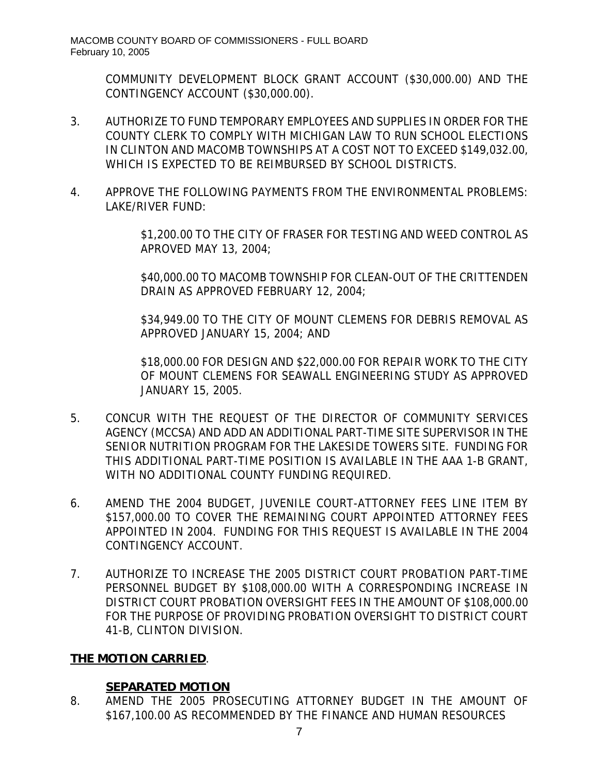COMMUNITY DEVELOPMENT BLOCK GRANT ACCOUNT (\$30,000.00) AND THE CONTINGENCY ACCOUNT (\$30,000.00).

- 3. AUTHORIZE TO FUND TEMPORARY EMPLOYEES AND SUPPLIES IN ORDER FOR THE COUNTY CLERK TO COMPLY WITH MICHIGAN LAW TO RUN SCHOOL ELECTIONS IN CLINTON AND MACOMB TOWNSHIPS AT A COST NOT TO EXCEED \$149,032.00, WHICH IS EXPECTED TO BE REIMBURSED BY SCHOOL DISTRICTS.
- 4. APPROVE THE FOLLOWING PAYMENTS FROM THE ENVIRONMENTAL PROBLEMS: LAKE/RIVER FUND:

\$1,200.00 TO THE CITY OF FRASER FOR TESTING AND WEED CONTROL AS APROVED MAY 13, 2004;

\$40,000.00 TO MACOMB TOWNSHIP FOR CLEAN-OUT OF THE CRITTENDEN DRAIN AS APPROVED FEBRUARY 12, 2004;

\$34,949.00 TO THE CITY OF MOUNT CLEMENS FOR DEBRIS REMOVAL AS APPROVED JANUARY 15, 2004; AND

\$18,000.00 FOR DESIGN AND \$22,000.00 FOR REPAIR WORK TO THE CITY OF MOUNT CLEMENS FOR SEAWALL ENGINEERING STUDY AS APPROVED JANUARY 15, 2005.

- 5. CONCUR WITH THE REQUEST OF THE DIRECTOR OF COMMUNITY SERVICES AGENCY (MCCSA) AND ADD AN ADDITIONAL PART-TIME SITE SUPERVISOR IN THE SENIOR NUTRITION PROGRAM FOR THE LAKESIDE TOWERS SITE. FUNDING FOR THIS ADDITIONAL PART-TIME POSITION IS AVAILABLE IN THE AAA 1-B GRANT, WITH NO ADDITIONAL COUNTY FUNDING REQUIRED.
- 6. AMEND THE 2004 BUDGET, JUVENILE COURT-ATTORNEY FEES LINE ITEM BY \$157,000.00 TO COVER THE REMAINING COURT APPOINTED ATTORNEY FEES APPOINTED IN 2004. FUNDING FOR THIS REQUEST IS AVAILABLE IN THE 2004 CONTINGENCY ACCOUNT.
- 7. AUTHORIZE TO INCREASE THE 2005 DISTRICT COURT PROBATION PART-TIME PERSONNEL BUDGET BY \$108,000.00 WITH A CORRESPONDING INCREASE IN DISTRICT COURT PROBATION OVERSIGHT FEES IN THE AMOUNT OF \$108,000.00 FOR THE PURPOSE OF PROVIDING PROBATION OVERSIGHT TO DISTRICT COURT 41-B, CLINTON DIVISION.

## **THE MOTION CARRIED**.

# **SEPARATED MOTION**

8. AMEND THE 2005 PROSECUTING ATTORNEY BUDGET IN THE AMOUNT OF \$167,100.00 AS RECOMMENDED BY THE FINANCE AND HUMAN RESOURCES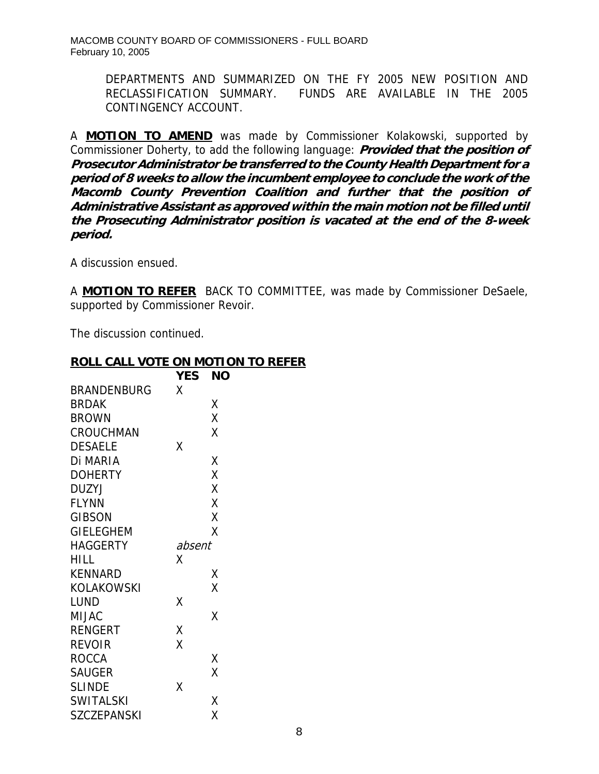DEPARTMENTS AND SUMMARIZED ON THE FY 2005 NEW POSITION AND RECLASSIFICATION SUMMARY. FUNDS ARE AVAILABLE IN THE 2005 CONTINGENCY ACCOUNT.

A **MOTION TO AMEND** was made by Commissioner Kolakowski, supported by Commissioner Doherty, to add the following language: **Provided that the position of Prosecutor Administrator be transferred to the County Health Department for a period of 8 weeks to allow the incumbent employee to conclude the work o the f Macomb County Prevention Coalition and further that the position of Administrative Assistant as approved within the main motion not be filled until the Prosecuting Administrator position is vacated at the end of the 8-week period.** 

A discussion ensued.

A **MOTION TO REFER** BACK TO COMMITTEE, was made by Commissioner DeSaele, supported by Commissioner Revoir.

The discussion continued.

### **ROLL CALL VOTE ON MOTION TO REFER**

|                    | <b>YES</b> | ΝO |
|--------------------|------------|----|
| BRANDENBURG        | χ          |    |
| <b>BRDAK</b>       |            | Χ  |
| <b>BROWN</b>       |            | X  |
| <b>CROUCHMAN</b>   |            | X  |
| <b>DESAELE</b>     | χ          |    |
| Di MARIA           |            | χ  |
| <b>DOHERTY</b>     |            | Χ  |
| DUZYJ              |            | Χ  |
| <b>FLYNN</b>       |            | X  |
| <b>GIBSON</b>      |            | Χ  |
| <b>GIELEGHEM</b>   |            | Χ  |
| HAGGERTY           | absent     |    |
| HILL               | χ          |    |
| <b>KENNARD</b>     |            | Χ  |
| KOLAKOWSKI         |            | X  |
| LUND               | χ          |    |
| MIJAC              |            | Χ  |
| RENGERT            | Χ          |    |
| REVOIR             | X          |    |
| <b>ROCCA</b>       |            | Χ  |
| <b>SAUGER</b>      |            | X  |
| <b>SLINDE</b>      | Χ          |    |
| <b>SWITALSKI</b>   |            | Χ  |
| <b>SZCZEPANSKI</b> |            | Χ  |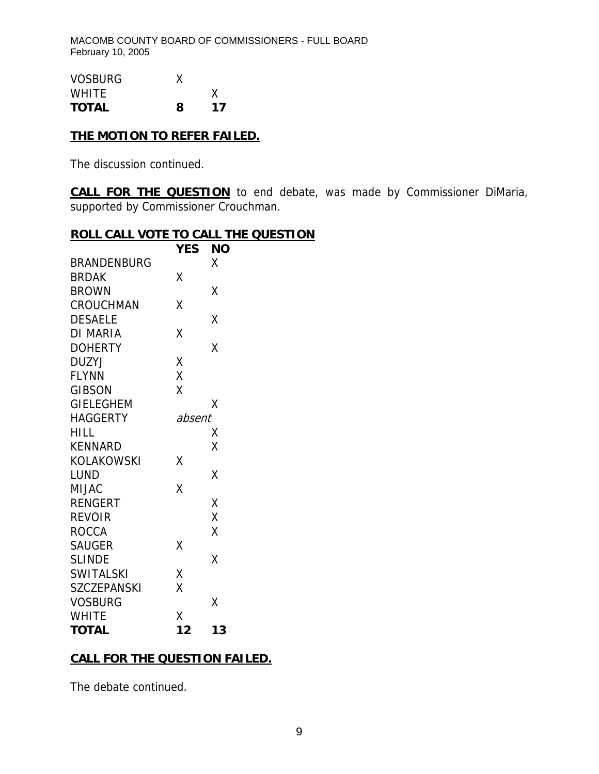| <b>VOSBURG</b> |   |    |
|----------------|---|----|
| <b>WHITE</b>   |   | х  |
| <b>TOTAL</b>   | 8 | 17 |

# **THE MOTION TO REFER FAILED.**

The discussion continued.

**CALL FOR THE QUESTION** to end debate, was made by Commissioner DiMaria, supported by Commissioner Crouchman.

## **ROLL CALL VOTE TO CALL THE QUESTION**

|                    | YES    | <b>NO</b> |
|--------------------|--------|-----------|
| <b>BRANDENBURG</b> |        | X         |
| <b>BRDAK</b>       | Χ      |           |
| <b>BROWN</b>       |        | Χ         |
| <b>CROUCHMAN</b>   | Χ      |           |
| <b>DESAELE</b>     |        | Χ         |
| <b>DI MARIA</b>    | Χ      |           |
| <b>DOHERTY</b>     |        | X         |
| <b>DUZYJ</b>       | Χ      |           |
| <b>FLYNN</b>       | X      |           |
| <b>GIBSON</b>      | X      |           |
| <b>GIELEGHEM</b>   |        | Χ         |
| <b>HAGGERTY</b>    | absent |           |
| <b>HILL</b>        |        | Χ         |
| <b>KENNARD</b>     |        | Χ         |
| <b>KOLAKOWSKI</b>  | Χ      |           |
| <b>LUND</b>        |        | Χ         |
| <b>MIJAC</b>       | X      |           |
| <b>RENGERT</b>     |        | Χ         |
| <b>REVOIR</b>      |        | X         |
| <b>ROCCA</b>       |        | Χ         |
| <b>SAUGER</b>      | Χ      |           |
| <b>SLINDE</b>      |        | Χ         |
| <b>SWITALSKI</b>   | X      |           |
| <b>SZCZEPANSKI</b> | X      |           |
| <b>VOSBURG</b>     |        | Χ         |
| <b>WHITE</b>       | X      |           |
| <b>TOTAL</b>       | 12     | 13        |

## **CALL FOR THE QUESTION FAILED.**

The debate continued.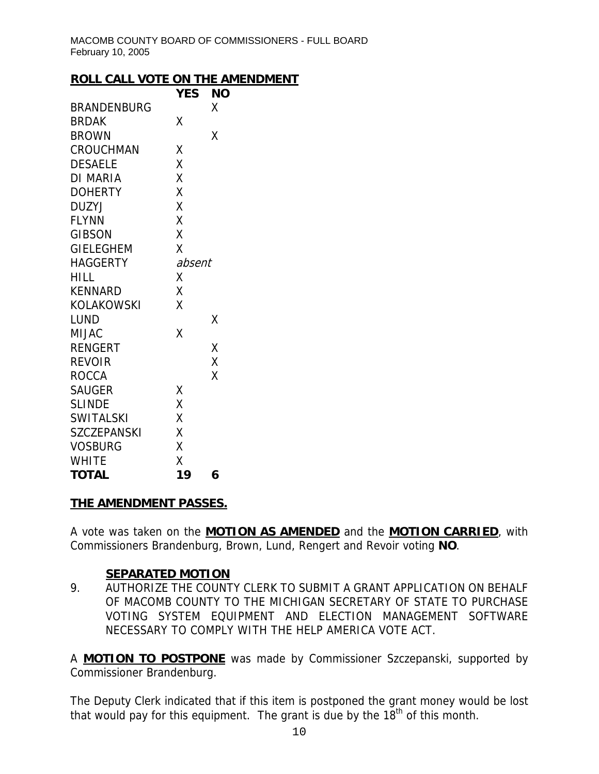### **ROLL CALL VOTE ON THE AMENDMENT**

|                    | YES    | ΝO |
|--------------------|--------|----|
| <b>BRANDENBURG</b> |        | χ  |
| <b>BRDAK</b>       | Χ      |    |
| <b>BROWN</b>       |        | Χ  |
| CROUCHMAN          | Χ      |    |
| <b>DESAELE</b>     | X      |    |
| <b>DI MARIA</b>    | X      |    |
| <b>DOHERTY</b>     | X      |    |
| <b>DUZYJ</b>       | X      |    |
| <b>FLYNN</b>       | X      |    |
| <b>GIBSON</b>      | X      |    |
| <b>GIELEGHEM</b>   | X      |    |
| <b>HAGGERTY</b>    | absent |    |
| HILL               | Χ      |    |
| <b>KENNARD</b>     | X      |    |
| KOLAKOWSKI         | Χ      |    |
| LUND               |        | Χ  |
| MIJAC              | Χ      |    |
| <b>RENGERT</b>     |        | Χ  |
| <b>REVOIR</b>      |        | X  |
| <b>ROCCA</b>       |        | Χ  |
| <b>SAUGER</b>      | Χ      |    |
| <b>SLINDE</b>      | X      |    |
| <b>SWITALSKI</b>   | X      |    |
| <b>SZCZEPANSKI</b> | X      |    |
| <b>VOSBURG</b>     | Χ      |    |
| <b>WHITE</b>       | X      |    |
| <b>TOTAL</b>       | 19     | 6  |

### **THE AMENDMENT PASSES.**

A vote was taken on the **MOTION AS AMENDED** and the **MOTION CARRIED**, with Commissioners Brandenburg, Brown, Lund, Rengert and Revoir voting **NO**.

## **SEPARATED MOTION**

9. AUTHORIZE THE COUNTY CLERK TO SUBMIT A GRANT APPLICATION ON BEHALF OF MACOMB COUNTY TO THE MICHIGAN SECRETARY OF STATE TO PURCHASE VOTING SYSTEM EQUIPMENT AND ELECTION MANAGEMENT SOFTWARE NECESSARY TO COMPLY WITH THE HELP AMERICA VOTE ACT.

A **MOTION TO POSTPONE** was made by Commissioner Szczepanski, supported by Commissioner Brandenburg.

The Deputy Clerk indicated that if this item is postponed the grant money would be lost that would pay for this equipment. The grant is due by the  $18<sup>th</sup>$  of this month.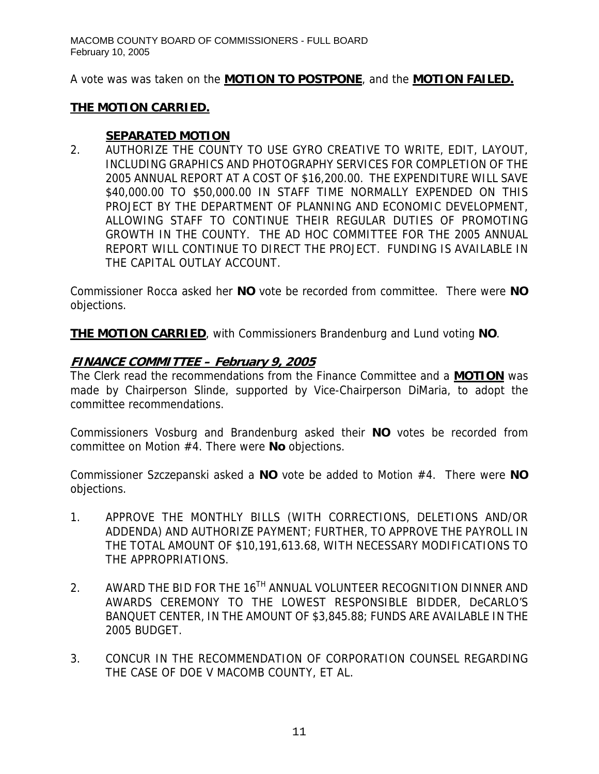A vote was was taken on the **MOTION TO POSTPONE**, and the **MOTION FAILED.**

## **THE MOTION CARRIED.**

## **SEPARATED MOTION**

2. AUTHORIZE THE COUNTY TO USE GYRO CREATIVE TO WRITE, EDIT, LAYOUT, INCLUDING GRAPHICS AND PHOTOGRAPHY SERVICES FOR COMPLETION OF THE 2005 ANNUAL REPORT AT A COST OF \$16,200.00. THE EXPENDITURE WILL SAVE \$40,000.00 TO \$50,000.00 IN STAFF TIME NORMALLY EXPENDED ON THIS PROJECT BY THE DEPARTMENT OF PLANNING AND ECONOMIC DEVELOPMENT, ALLOWING STAFF TO CONTINUE THEIR REGULAR DUTIES OF PROMOTING GROWTH IN THE COUNTY. THE AD HOC COMMITTEE FOR THE 2005 ANNUAL REPORT WILL CONTINUE TO DIRECT THE PROJECT. FUNDING IS AVAILABLE IN THE CAPITAL OUTLAY ACCOUNT.

Commissioner Rocca asked her **NO** vote be recorded from committee. There were **NO** objections.

**THE MOTION CARRIED**, with Commissioners Brandenburg and Lund voting **NO**.

# **FINANCE COMMITTEE – February 9, 2005**

The Clerk read the recommendations from the Finance Committee and a **MOTION** was made by Chairperson Slinde, supported by Vice-Chairperson DiMaria, to adopt the committee recommendations.

Commissioners Vosburg and Brandenburg asked their **NO** votes be recorded from committee on Motion #4. There were **No** objections.

Commissioner Szczepanski asked a **NO** vote be added to Motion #4. There were **NO** objections.

- 1. APPROVE THE MONTHLY BILLS (WITH CORRECTIONS, DELETIONS AND/OR ADDENDA) AND AUTHORIZE PAYMENT; FURTHER, TO APPROVE THE PAYROLL IN THE TOTAL AMOUNT OF \$10,191,613.68, WITH NECESSARY MODIFICATIONS TO THE APPROPRIATIONS.
- 2. AWARD THE BID FOR THE 16<sup>TH</sup> ANNUAL VOLUNTEER RECOGNITION DINNER AND AWARDS CEREMONY TO THE LOWEST RESPONSIBLE BIDDER, DeCARLO'S BANQUET CENTER, IN THE AMOUNT OF \$3,845.88; FUNDS ARE AVAILABLE IN THE 2005 BUDGET.
- 3. CONCUR IN THE RECOMMENDATION OF CORPORATION COUNSEL REGARDING THE CASE OF DOE V MACOMB COUNTY, ET AL.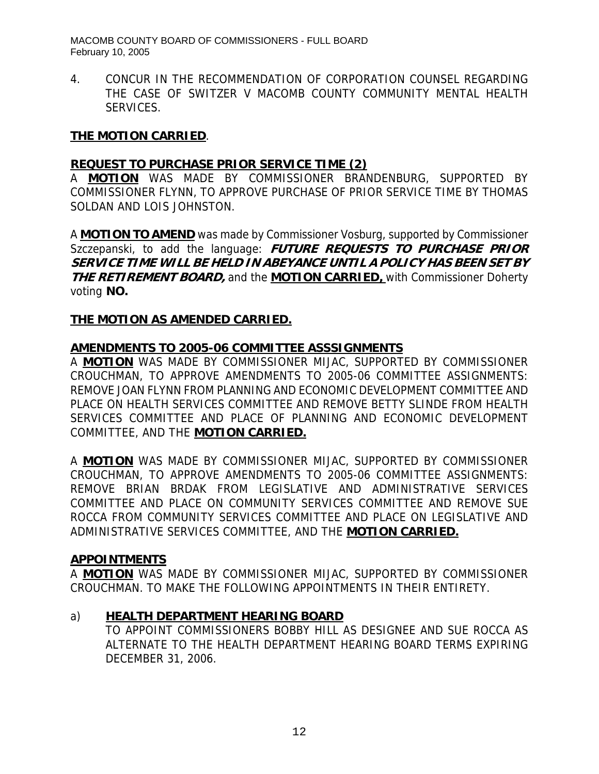4. CONCUR IN THE RECOMMENDATION OF CORPORATION COUNSEL REGARDING THE CASE OF SWITZER V MACOMB COUNTY COMMUNITY MENTAL HEALTH SERVICES.

### **THE MOTION CARRIED**.

#### **REQUEST TO PURCHASE PRIOR SERVICE TIME (2)**

A **MOTION** WAS MADE BY COMMISSIONER BRANDENBURG, SUPPORTED BY COMMISSIONER FLYNN, TO APPROVE PURCHASE OF PRIOR SERVICE TIME BY THOMAS SOLDAN AND LOIS JOHNSTON.

A **MOTION TO AMEND** was made by Commissioner Vosburg, supported by Commissioner Szczepanski, to add the language: **FUTURE REQUESTS TO PURCHASE PRIOR SERVICE TIME WILL BE HELD IN ABEYANCE UNTIL A POLICY HAS BEEN SET BY THE RETIREMENT BOARD,** and the **MOTION CARRIED,** with Commissioner Doherty voting **NO.** 

#### **THE MOTION AS AMENDED CARRIED.**

#### **AMENDMENTS TO 2005-06 COMMITTEE ASSSIGNMENTS**

A **MOTION** WAS MADE BY COMMISSIONER MIJAC, SUPPORTED BY COMMISSIONER CROUCHMAN, TO APPROVE AMENDMENTS TO 2005-06 COMMITTEE ASSIGNMENTS: REMOVE JOAN FLYNN FROM PLANNING AND ECONOMIC DEVELOPMENT COMMITTEE AND PLACE ON HEALTH SERVICES COMMITTEE AND REMOVE BETTY SLINDE FROM HEALTH SERVICES COMMITTEE AND PLACE OF PLANNING AND ECONOMIC DEVELOPMENT COMMITTEE, AND THE **MOTION CARRIED.**

A **MOTION** WAS MADE BY COMMISSIONER MIJAC, SUPPORTED BY COMMISSIONER CROUCHMAN, TO APPROVE AMENDMENTS TO 2005-06 COMMITTEE ASSIGNMENTS: REMOVE BRIAN BRDAK FROM LEGISLATIVE AND ADMINISTRATIVE SERVICES COMMITTEE AND PLACE ON COMMUNITY SERVICES COMMITTEE AND REMOVE SUE ROCCA FROM COMMUNITY SERVICES COMMITTEE AND PLACE ON LEGISLATIVE AND ADMINISTRATIVE SERVICES COMMITTEE, AND THE **MOTION CARRIED.**

#### **APPOINTMENTS**

A **MOTION** WAS MADE BY COMMISSIONER MIJAC, SUPPORTED BY COMMISSIONER CROUCHMAN. TO MAKE THE FOLLOWING APPOINTMENTS IN THEIR ENTIRETY.

### a) **HEALTH DEPARTMENT HEARING BOARD**

TO APPOINT COMMISSIONERS BOBBY HILL AS DESIGNEE AND SUE ROCCA AS ALTERNATE TO THE HEALTH DEPARTMENT HEARING BOARD TERMS EXPIRING DECEMBER 31, 2006.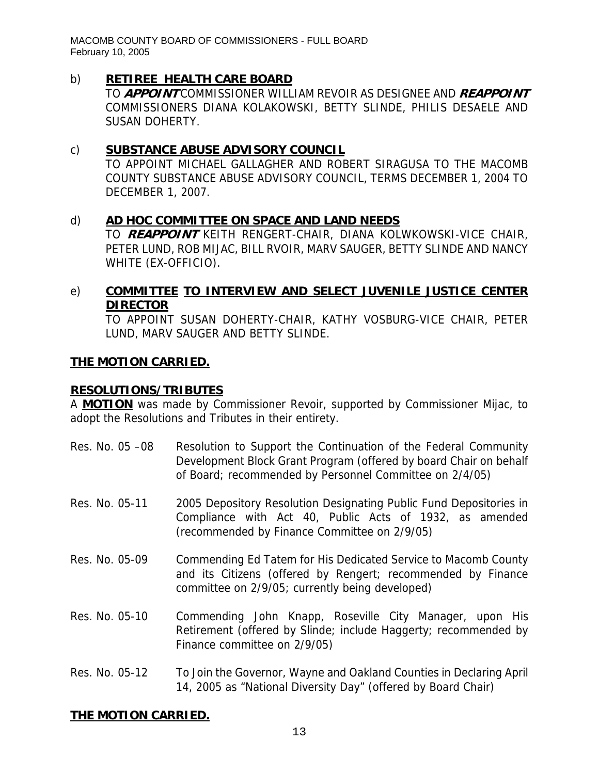## b) **RETIREE HEALTH CARE BOARD**

TO **APPOINT** COMMISSIONER WILLIAM REVOIR AS DESIGNEE AND **REAPPOINT** COMMISSIONERS DIANA KOLAKOWSKI, BETTY SLINDE, PHILIS DESAELE AND SUSAN DOHERTY.

### c) **SUBSTANCE ABUSE ADVISORY COUNCIL**

TO APPOINT MICHAEL GALLAGHER AND ROBERT SIRAGUSA TO THE MACOMB COUNTY SUBSTANCE ABUSE ADVISORY COUNCIL, TERMS DECEMBER 1, 2004 TO DECEMBER 1, 2007.

### d) **AD HOC COMMITTEE ON SPACE AND LAND NEEDS**

TO **REAPPOINT** KEITH RENGERT-CHAIR, DIANA KOLWKOWSKI-VICE CHAIR, PETER LUND, ROB MIJAC, BILL RVOIR, MARV SAUGER, BETTY SLINDE AND NANCY WHITE (EX-OFFICIO).

## e) **COMMITTEE TO INTERVIEW AND SELECT JUVENILE JUSTICE CENTER DIRECTOR**

TO APPOINT SUSAN DOHERTY-CHAIR, KATHY VOSBURG-VICE CHAIR, PETER LUND, MARV SAUGER AND BETTY SLINDE.

### **THE MOTION CARRIED.**

### **RESOLUTIONS/TRIBUTES**

A **MOTION** was made by Commissioner Revoir, supported by Commissioner Mijac, to adopt the Resolutions and Tributes in their entirety.

- Res. No. 05 -08 Resolution to Support the Continuation of the Federal Community Development Block Grant Program (offered by board Chair on behalf of Board; recommended by Personnel Committee on 2/4/05)
- Res. No. 05-11 2005 Depository Resolution Designating Public Fund Depositories in Compliance with Act 40, Public Acts of 1932, as amended (recommended by Finance Committee on 2/9/05)
- Res. No. 05-09 Commending Ed Tatem for His Dedicated Service to Macomb County and its Citizens (offered by Rengert; recommended by Finance committee on 2/9/05; currently being developed)
- Res. No. 05-10 Commending John Knapp, Roseville City Manager, upon His Retirement (offered by Slinde; include Haggerty; recommended by Finance committee on 2/9/05)
- Res. No. 05-12 To Join the Governor, Wayne and Oakland Counties in Declaring April 14, 2005 as "National Diversity Day" (offered by Board Chair)

### **THE MOTION CARRIED.**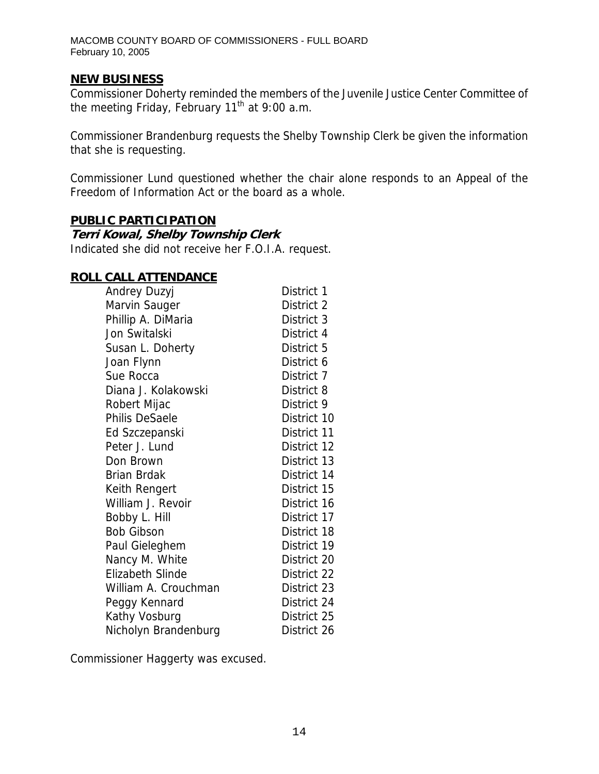## **NEW BUSINESS**

Commissioner Doherty reminded the members of the Juvenile Justice Center Committee of the meeting Friday, February  $11<sup>th</sup>$  at 9:00 a.m.

Commissioner Brandenburg requests the Shelby Township Clerk be given the information that she is requesting.

Commissioner Lund questioned whether the chair alone responds to an Appeal of the Freedom of Information Act or the board as a whole.

### **PUBLIC PARTICIPATION**

#### **Terri Kowal, Shelby Township Clerk**

Indicated she did not receive her F.O.I.A. request.

#### **ROLL CALL ATTENDANCE**

| Andrey Duzyj            | District 1  |
|-------------------------|-------------|
| Marvin Sauger           | District 2  |
| Phillip A. DiMaria      | District 3  |
| Jon Switalski           | District 4  |
| Susan L. Doherty        | District 5  |
| Joan Flynn              | District 6  |
| Sue Rocca               | District 7  |
| Diana J. Kolakowski     | District 8  |
| Robert Mijac            | District 9  |
| <b>Philis DeSaele</b>   | District 10 |
| Ed Szczepanski          | District 11 |
| Peter J. Lund           | District 12 |
| Don Brown               | District 13 |
| <b>Brian Brdak</b>      | District 14 |
| Keith Rengert           | District 15 |
| William J. Revoir       | District 16 |
| Bobby L. Hill           | District 17 |
| <b>Bob Gibson</b>       | District 18 |
| Paul Gieleghem          | District 19 |
| Nancy M. White          | District 20 |
| <b>Elizabeth Slinde</b> | District 22 |
| William A. Crouchman    | District 23 |
| Peggy Kennard           | District 24 |
| Kathy Vosburg           | District 25 |
| Nicholyn Brandenburg    | District 26 |

Commissioner Haggerty was excused.